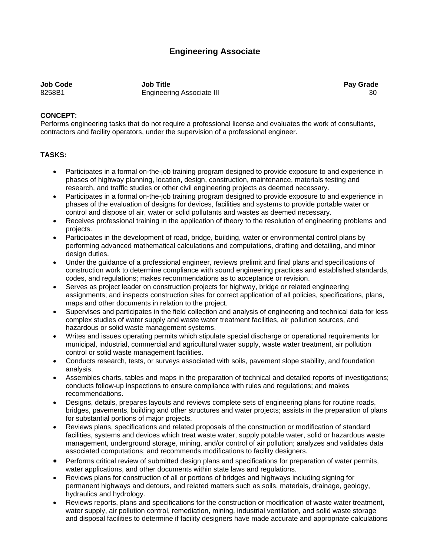## **Engineering Associate**

**Job Code Job Title Pay Grade**  8258B1 Engineering Associate III 30

## **CONCEPT:**

Performs engineering tasks that do not require a professional license and evaluates the work of consultants, contractors and facility operators, under the supervision of a professional engineer.

## **TASKS:**

- Participates in a formal on-the-job training program designed to provide exposure to and experience in phases of highway planning, location, design, construction, maintenance, materials testing and research, and traffic studies or other civil engineering projects as deemed necessary.
- Participates in a formal on-the-job training program designed to provide exposure to and experience in phases of the evaluation of designs for devices, facilities and systems to provide portable water or control and dispose of air, water or solid pollutants and wastes as deemed necessary.
- Receives professional training in the application of theory to the resolution of engineering problems and projects.
- Participates in the development of road, bridge, building, water or environmental control plans by performing advanced mathematical calculations and computations, drafting and detailing, and minor design duties.
- Under the guidance of a professional engineer, reviews prelimit and final plans and specifications of construction work to determine compliance with sound engineering practices and established standards, codes, and regulations; makes recommendations as to acceptance or revision.
- Serves as project leader on construction projects for highway, bridge or related engineering assignments; and inspects construction sites for correct application of all policies, specifications, plans, maps and other documents in relation to the project.
- Supervises and participates in the field collection and analysis of engineering and technical data for less complex studies of water supply and waste water treatment facilities, air pollution sources, and hazardous or solid waste management systems.
- Writes and issues operating permits which stipulate special discharge or operational requirements for municipal, industrial, commercial and agricultural water supply, waste water treatment, air pollution control or solid waste management facilities.
- Conducts research, tests, or surveys associated with soils, pavement slope stability, and foundation analysis.
- Assembles charts, tables and maps in the preparation of technical and detailed reports of investigations; conducts follow-up inspections to ensure compliance with rules and regulations; and makes recommendations.
- Designs, details, prepares layouts and reviews complete sets of engineering plans for routine roads, bridges, pavements, building and other structures and water projects; assists in the preparation of plans for substantial portions of major projects.
- Reviews plans, specifications and related proposals of the construction or modification of standard facilities, systems and devices which treat waste water, supply potable water, solid or hazardous waste management, underground storage, mining, and/or control of air pollution; analyzes and validates data associated computations; and recommends modifications to facility designers.
- Performs critical review of submitted design plans and specifications for preparation of water permits, water applications, and other documents within state laws and regulations.
- Reviews plans for construction of all or portions of bridges and highways including signing for permanent highways and detours, and related matters such as soils, materials, drainage, geology, hydraulics and hydrology.
- Reviews reports, plans and specifications for the construction or modification of waste water treatment, water supply, air pollution control, remediation, mining, industrial ventilation, and solid waste storage and disposal facilities to determine if facility designers have made accurate and appropriate calculations